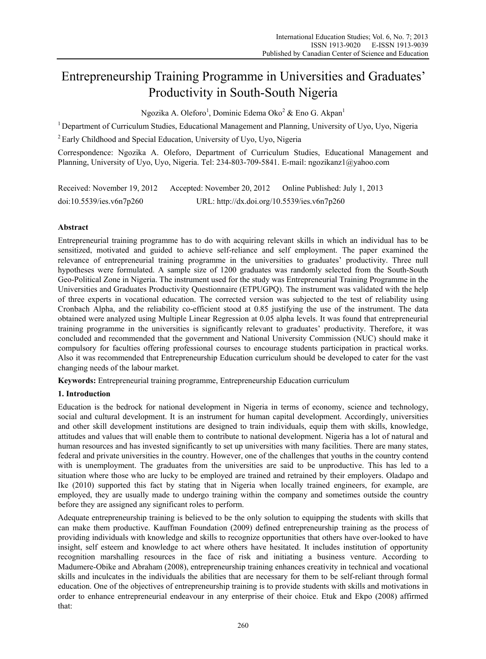# Entrepreneurship Training Programme in Universities and Graduates' Productivity in South-South Nigeria

Ngozika A. Oleforo<sup>1</sup>, Dominic Edema Oko<sup>2</sup> & Eno G. Akpan<sup>1</sup>

<sup>1</sup> Department of Curriculum Studies, Educational Management and Planning, University of Uyo, Uyo, Nigeria

<sup>2</sup> Early Childhood and Special Education, University of Uyo, Uyo, Nigeria

Correspondence: Ngozika A. Oleforo, Department of Curriculum Studies, Educational Management and Planning, University of Uyo, Uyo, Nigeria. Tel: 234-803-709-5841. E-mail: ngozikanz1@yahoo.com

| Received: November 19, 2012 | Accepted: November 20, 2012                 | Online Published: July 1, 2013 |
|-----------------------------|---------------------------------------------|--------------------------------|
| doi:10.5539/ies.v6n7p260    | URL: http://dx.doi.org/10.5539/ies.v6n7p260 |                                |

## **Abstract**

Entrepreneurial training programme has to do with acquiring relevant skills in which an individual has to be sensitized, motivated and guided to achieve self-reliance and self employment. The paper examined the relevance of entrepreneurial training programme in the universities to graduates' productivity. Three null hypotheses were formulated. A sample size of 1200 graduates was randomly selected from the South-South Geo-Political Zone in Nigeria. The instrument used for the study was Entrepreneurial Training Programme in the Universities and Graduates Productivity Questionnaire (ETPUGPQ). The instrument was validated with the help of three experts in vocational education. The corrected version was subjected to the test of reliability using Cronbach Alpha, and the reliability co-efficient stood at 0.85 justifying the use of the instrument. The data obtained were analyzed using Multiple Linear Regression at 0.05 alpha levels. It was found that entrepreneurial training programme in the universities is significantly relevant to graduates' productivity. Therefore, it was concluded and recommended that the government and National University Commission (NUC) should make it compulsory for faculties offering professional courses to encourage students participation in practical works. Also it was recommended that Entrepreneurship Education curriculum should be developed to cater for the vast changing needs of the labour market.

**Keywords:** Entrepreneurial training programme, Entrepreneurship Education curriculum

## **1. Introduction**

Education is the bedrock for national development in Nigeria in terms of economy, science and technology, social and cultural development. It is an instrument for human capital development. Accordingly, universities and other skill development institutions are designed to train individuals, equip them with skills, knowledge, attitudes and values that will enable them to contribute to national development. Nigeria has a lot of natural and human resources and has invested significantly to set up universities with many facilities. There are many states, federal and private universities in the country. However, one of the challenges that youths in the country contend with is unemployment. The graduates from the universities are said to be unproductive. This has led to a situation where those who are lucky to be employed are trained and retrained by their employers. Oladapo and Ike (2010) supported this fact by stating that in Nigeria when locally trained engineers, for example, are employed, they are usually made to undergo training within the company and sometimes outside the country before they are assigned any significant roles to perform.

Adequate entrepreneurship training is believed to be the only solution to equipping the students with skills that can make them productive. Kauffman Foundation (2009) defined entrepreneurship training as the process of providing individuals with knowledge and skills to recognize opportunities that others have over-looked to have insight, self esteem and knowledge to act where others have hesitated. It includes institution of opportunity recognition marshalling resources in the face of risk and initiating a business venture. According to Madumere-Obike and Abraham (2008), entrepreneurship training enhances creativity in technical and vocational skills and inculcates in the individuals the abilities that are necessary for them to be self-reliant through formal education. One of the objectives of entrepreneurship training is to provide students with skills and motivations in order to enhance entrepreneurial endeavour in any enterprise of their choice. Etuk and Ekpo (2008) affirmed that: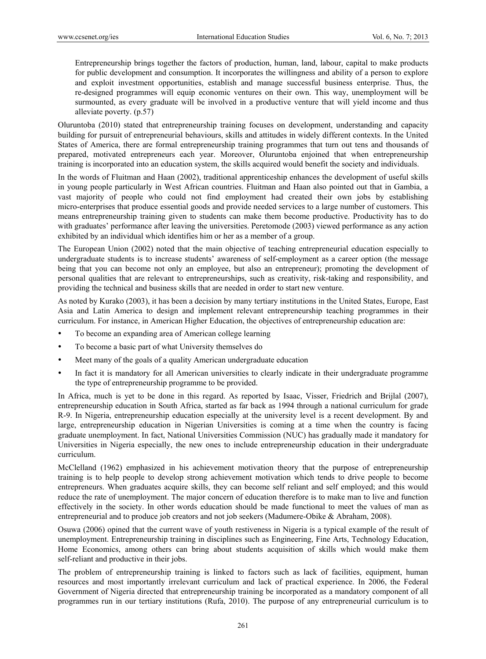Entrepreneurship brings together the factors of production, human, land, labour, capital to make products for public development and consumption. It incorporates the willingness and ability of a person to explore and exploit investment opportunities, establish and manage successful business enterprise. Thus, the re-designed programmes will equip economic ventures on their own. This way, unemployment will be surmounted, as every graduate will be involved in a productive venture that will yield income and thus alleviate poverty. (p.57)

Oluruntoba (2010) stated that entrepreneurship training focuses on development, understanding and capacity building for pursuit of entrepreneurial behaviours, skills and attitudes in widely different contexts. In the United States of America, there are formal entrepreneurship training programmes that turn out tens and thousands of prepared, motivated entrepreneurs each year. Moreover, Oluruntoba enjoined that when entrepreneurship training is incorporated into an education system, the skills acquired would benefit the society and individuals.

In the words of Fluitman and Haan (2002), traditional apprenticeship enhances the development of useful skills in young people particularly in West African countries. Fluitman and Haan also pointed out that in Gambia, a vast majority of people who could not find employment had created their own jobs by establishing micro-enterprises that produce essential goods and provide needed services to a large number of customers. This means entrepreneurship training given to students can make them become productive. Productivity has to do with graduates' performance after leaving the universities. Peretomode (2003) viewed performance as any action exhibited by an individual which identifies him or her as a member of a group.

The European Union (2002) noted that the main objective of teaching entrepreneurial education especially to undergraduate students is to increase students' awareness of self-employment as a career option (the message being that you can become not only an employee, but also an entrepreneur); promoting the development of personal qualities that are relevant to entrepreneurships, such as creativity, risk-taking and responsibility, and providing the technical and business skills that are needed in order to start new venture.

As noted by Kurako (2003), it has been a decision by many tertiary institutions in the United States, Europe, East Asia and Latin America to design and implement relevant entrepreneurship teaching programmes in their curriculum. For instance, in American Higher Education, the objectives of entrepreneurship education are:

- To become an expanding area of American college learning
- To become a basic part of what University themselves do
- Meet many of the goals of a quality American undergraduate education
- In fact it is mandatory for all American universities to clearly indicate in their undergraduate programme the type of entrepreneurship programme to be provided.

In Africa, much is yet to be done in this regard. As reported by Isaac, Visser, Friedrich and Brijlal (2007), entrepreneurship education in South Africa, started as far back as 1994 through a national curriculum for grade R-9. In Nigeria, entrepreneurship education especially at the university level is a recent development. By and large, entrepreneurship education in Nigerian Universities is coming at a time when the country is facing graduate unemployment. In fact, National Universities Commission (NUC) has gradually made it mandatory for Universities in Nigeria especially, the new ones to include entrepreneurship education in their undergraduate curriculum.

McClelland (1962) emphasized in his achievement motivation theory that the purpose of entrepreneurship training is to help people to develop strong achievement motivation which tends to drive people to become entrepreneurs. When graduates acquire skills, they can become self reliant and self employed; and this would reduce the rate of unemployment. The major concern of education therefore is to make man to live and function effectively in the society. In other words education should be made functional to meet the values of man as entrepreneurial and to produce job creators and not job seekers (Madumere-Obike & Abraham, 2008).

Osuwa (2006) opined that the current wave of youth restiveness in Nigeria is a typical example of the result of unemployment. Entrepreneurship training in disciplines such as Engineering, Fine Arts, Technology Education, Home Economics, among others can bring about students acquisition of skills which would make them self-reliant and productive in their jobs.

The problem of entrepreneurship training is linked to factors such as lack of facilities, equipment, human resources and most importantly irrelevant curriculum and lack of practical experience. In 2006, the Federal Government of Nigeria directed that entrepreneurship training be incorporated as a mandatory component of all programmes run in our tertiary institutions (Rufa, 2010). The purpose of any entrepreneurial curriculum is to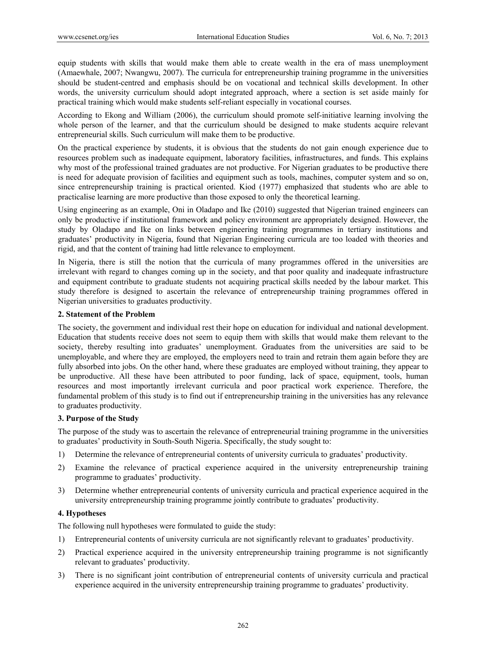equip students with skills that would make them able to create wealth in the era of mass unemployment (Amaewhale, 2007; Nwangwu, 2007). The curricula for entrepreneurship training programme in the universities should be student-centred and emphasis should be on vocational and technical skills development. In other words, the university curriculum should adopt integrated approach, where a section is set aside mainly for practical training which would make students self-reliant especially in vocational courses.

According to Ekong and William (2006), the curriculum should promote self-initiative learning involving the whole person of the learner, and that the curriculum should be designed to make students acquire relevant entrepreneurial skills. Such curriculum will make them to be productive.

On the practical experience by students, it is obvious that the students do not gain enough experience due to resources problem such as inadequate equipment, laboratory facilities, infrastructures, and funds. This explains why most of the professional trained graduates are not productive. For Nigerian graduates to be productive there is need for adequate provision of facilities and equipment such as tools, machines, computer system and so on, since entrepreneurship training is practical oriented. Kiod (1977) emphasized that students who are able to practicalise learning are more productive than those exposed to only the theoretical learning.

Using engineering as an example, Oni in Oladapo and Ike (2010) suggested that Nigerian trained engineers can only be productive if institutional framework and policy environment are appropriately designed. However, the study by Oladapo and Ike on links between engineering training programmes in tertiary institutions and graduates' productivity in Nigeria, found that Nigerian Engineering curricula are too loaded with theories and rigid, and that the content of training had little relevance to employment.

In Nigeria, there is still the notion that the curricula of many programmes offered in the universities are irrelevant with regard to changes coming up in the society, and that poor quality and inadequate infrastructure and equipment contribute to graduate students not acquiring practical skills needed by the labour market. This study therefore is designed to ascertain the relevance of entrepreneurship training programmes offered in Nigerian universities to graduates productivity.

#### **2. Statement of the Problem**

The society, the government and individual rest their hope on education for individual and national development. Education that students receive does not seem to equip them with skills that would make them relevant to the society, thereby resulting into graduates' unemployment. Graduates from the universities are said to be unemployable, and where they are employed, the employers need to train and retrain them again before they are fully absorbed into jobs. On the other hand, where these graduates are employed without training, they appear to be unproductive. All these have been attributed to poor funding, lack of space, equipment, tools, human resources and most importantly irrelevant curricula and poor practical work experience. Therefore, the fundamental problem of this study is to find out if entrepreneurship training in the universities has any relevance to graduates productivity.

## **3. Purpose of the Study**

The purpose of the study was to ascertain the relevance of entrepreneurial training programme in the universities to graduates' productivity in South-South Nigeria. Specifically, the study sought to:

- 1) Determine the relevance of entrepreneurial contents of university curricula to graduates' productivity.
- 2) Examine the relevance of practical experience acquired in the university entrepreneurship training programme to graduates' productivity.
- 3) Determine whether entrepreneurial contents of university curricula and practical experience acquired in the university entrepreneurship training programme jointly contribute to graduates' productivity.

## **4. Hypotheses**

The following null hypotheses were formulated to guide the study:

- 1) Entrepreneurial contents of university curricula are not significantly relevant to graduates' productivity.
- 2) Practical experience acquired in the university entrepreneurship training programme is not significantly relevant to graduates' productivity.
- 3) There is no significant joint contribution of entrepreneurial contents of university curricula and practical experience acquired in the university entrepreneurship training programme to graduates' productivity.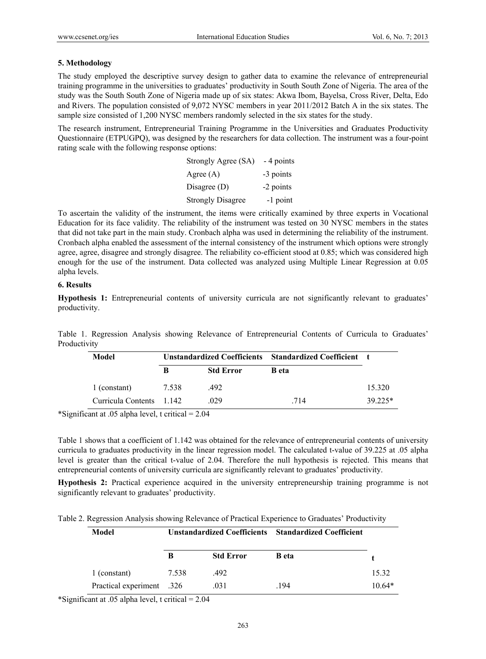### **5. Methodology**

The study employed the descriptive survey design to gather data to examine the relevance of entrepreneurial training programme in the universities to graduates' productivity in South South Zone of Nigeria. The area of the study was the South South Zone of Nigeria made up of six states: Akwa Ibom, Bayelsa, Cross River, Delta, Edo and Rivers. The population consisted of 9,072 NYSC members in year 2011/2012 Batch A in the six states. The sample size consisted of 1,200 NYSC members randomly selected in the six states for the study.

The research instrument, Entrepreneurial Training Programme in the Universities and Graduates Productivity Questionnaire (ETPUGPQ), was designed by the researchers for data collection. The instrument was a four-point rating scale with the following response options:

| Strongly Agree (SA)      | - 4 points |
|--------------------------|------------|
| Agree $(A)$              | -3 points  |
| Disagree (D)             | -2 points  |
| <b>Strongly Disagree</b> | -1 point   |

To ascertain the validity of the instrument, the items were critically examined by three experts in Vocational Education for its face validity. The reliability of the instrument was tested on 30 NYSC members in the states that did not take part in the main study. Cronbach alpha was used in determining the reliability of the instrument. Cronbach alpha enabled the assessment of the internal consistency of the instrument which options were strongly agree, agree, disagree and strongly disagree. The reliability co-efficient stood at 0.85; which was considered high enough for the use of the instrument. Data collected was analyzed using Multiple Linear Regression at 0.05 alpha levels.

#### **6. Results**

**Hypothesis 1:** Entrepreneurial contents of university curricula are not significantly relevant to graduates' productivity.

Table 1. Regression Analysis showing Relevance of Entrepreneurial Contents of Curricula to Graduates' Productivity

| Model                    | Unstandardized Coefficients Standardized Coefficient t |                  |              |           |
|--------------------------|--------------------------------------------------------|------------------|--------------|-----------|
|                          | В                                                      | <b>Std Error</b> | <b>B</b> eta |           |
| 1 (constant)             | 7.538                                                  | 492              |              | 15 320    |
| Curricula Contents 1.142 |                                                        | 029              | 714          | $39.225*$ |

\*Significant at .05 alpha level, t critical = 2.04

Table 1 shows that a coefficient of 1.142 was obtained for the relevance of entrepreneurial contents of university curricula to graduates productivity in the linear regression model. The calculated t-value of 39.225 at .05 alpha level is greater than the critical t-value of 2.04. Therefore the null hypothesis is rejected. This means that entrepreneurial contents of university curricula are significantly relevant to graduates' productivity.

**Hypothesis 2:** Practical experience acquired in the university entrepreneurship training programme is not significantly relevant to graduates' productivity.

|  | Table 2. Regression Analysis showing Relevance of Practical Experience to Graduates' Productivity |  |
|--|---------------------------------------------------------------------------------------------------|--|
|  |                                                                                                   |  |

| Model                     | Unstandardized Coefficients Standardized Coefficient |                  |              |          |  |
|---------------------------|------------------------------------------------------|------------------|--------------|----------|--|
|                           | в                                                    | <b>Std Error</b> | <b>B</b> eta |          |  |
| 1 (constant)              | 7.538                                                | .492             |              | 15.32    |  |
| Practical experiment .326 |                                                      | .031             | .194         | $10.64*$ |  |

\*Significant at .05 alpha level, t critical = 2.04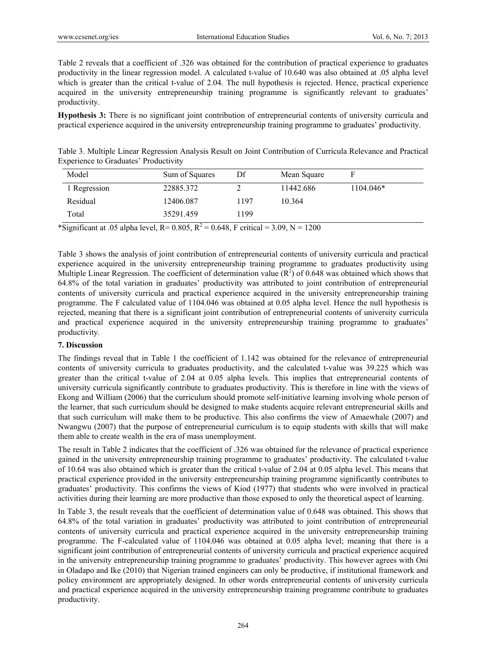Table 2 reveals that a coefficient of .326 was obtained for the contribution of practical experience to graduates productivity in the linear regression model. A calculated t-value of 10.640 was also obtained at .05 alpha level which is greater than the critical t-value of 2.04. The null hypothesis is rejected. Hence, practical experience acquired in the university entrepreneurship training programme is significantly relevant to graduates' productivity.

**Hypothesis 3:** There is no significant joint contribution of entrepreneurial contents of university curricula and practical experience acquired in the university entrepreneurship training programme to graduates' productivity.

Table 3. Multiple Linear Regression Analysis Result on Joint Contribution of Curricula Relevance and Practical Experience to Graduates' Productivity

| Model        | Sum of Squares | Df   | Mean Square |             |  |
|--------------|----------------|------|-------------|-------------|--|
| 1 Regression | 22885.372      |      | 11442.686   | $1104.046*$ |  |
| Residual     | 12406.087      | 1197 | 10.364      |             |  |
| Total        | 35291.459      | 1199 |             |             |  |

\*Significant at .05 alpha level,  $R = 0.805$ ,  $R^2 = 0.648$ , F critical = 3.09, N = 1200

Table 3 shows the analysis of joint contribution of entrepreneurial contents of university curricula and practical experience acquired in the university entrepreneurship training programme to graduates productivity using Multiple Linear Regression. The coefficient of determination value  $(R<sup>2</sup>)$  of 0.648 was obtained which shows that 64.8% of the total variation in graduates' productivity was attributed to joint contribution of entrepreneurial contents of university curricula and practical experience acquired in the university entrepreneurship training programme. The F calculated value of 1104.046 was obtained at 0.05 alpha level. Hence the null hypothesis is rejected, meaning that there is a significant joint contribution of entrepreneurial contents of university curricula and practical experience acquired in the university entrepreneurship training programme to graduates' productivity.

#### **7. Discussion**

The findings reveal that in Table 1 the coefficient of 1.142 was obtained for the relevance of entrepreneurial contents of university curricula to graduates productivity, and the calculated t-value was 39.225 which was greater than the critical t-value of 2.04 at 0.05 alpha levels. This implies that entrepreneurial contents of university curricula significantly contribute to graduates productivity. This is therefore in line with the views of Ekong and William (2006) that the curriculum should promote self-initiative learning involving whole person of the learner, that such curriculum should be designed to make students acquire relevant entrepreneurial skills and that such curriculum will make them to be productive. This also confirms the view of Amaewhale (2007) and Nwangwu (2007) that the purpose of entrepreneurial curriculum is to equip students with skills that will make them able to create wealth in the era of mass unemployment.

The result in Table 2 indicates that the coefficient of .326 was obtained for the relevance of practical experience gained in the university entrepreneurship training programme to graduates' productivity. The calculated t-value of 10.64 was also obtained which is greater than the critical t-value of 2.04 at 0.05 alpha level. This means that practical experience provided in the university entrepreneurship training programme significantly contributes to graduates' productivity. This confirms the views of Kiod (1977) that students who were involved in practical activities during their learning are more productive than those exposed to only the theoretical aspect of learning.

In Table 3, the result reveals that the coefficient of determination value of 0.648 was obtained. This shows that 64.8% of the total variation in graduates' productivity was attributed to joint contribution of entrepreneurial contents of university curricula and practical experience acquired in the university entrepreneurship training programme. The F-calculated value of 1104.046 was obtained at 0.05 alpha level; meaning that there is a significant joint contribution of entrepreneurial contents of university curricula and practical experience acquired in the university entrepreneurship training programme to graduates' productivity. This however agrees with Oni in Oladapo and Ike (2010) that Nigerian trained engineers can only be productive, if institutional framework and policy environment are appropriately designed. In other words entrepreneurial contents of university curricula and practical experience acquired in the university entrepreneurship training programme contribute to graduates productivity.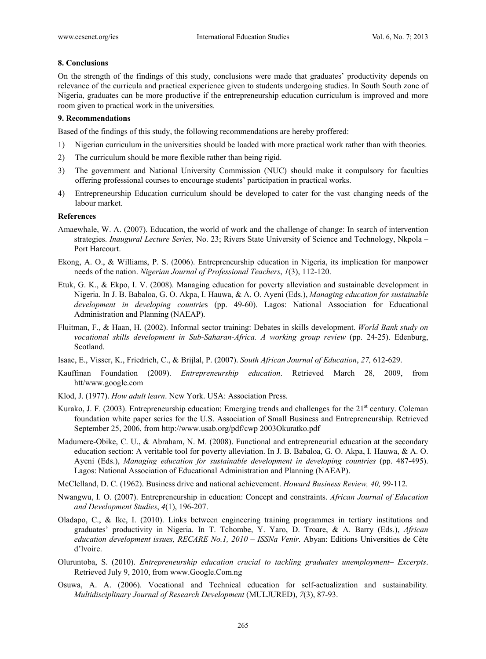#### **8. Conclusions**

On the strength of the findings of this study, conclusions were made that graduates' productivity depends on relevance of the curricula and practical experience given to students undergoing studies. In South South zone of Nigeria, graduates can be more productive if the entrepreneurship education curriculum is improved and more room given to practical work in the universities.

### **9. Recommendations**

Based of the findings of this study, the following recommendations are hereby proffered:

- 1) Nigerian curriculum in the universities should be loaded with more practical work rather than with theories.
- 2) The curriculum should be more flexible rather than being rigid.
- 3) The government and National University Commission (NUC) should make it compulsory for faculties offering professional courses to encourage students' participation in practical works.
- 4) Entrepreneurship Education curriculum should be developed to cater for the vast changing needs of the labour market.

## **References**

- Amaewhale, W. A. (2007). Education, the world of work and the challenge of change: In search of intervention strategies. *Inaugural Lecture Series,* No. 23; Rivers State University of Science and Technology, Nkpola – Port Harcourt.
- Ekong, A. O., & Williams, P. S. (2006). Entrepreneurship education in Nigeria, its implication for manpower needs of the nation. *Nigerian Journal of Professional Teachers*, *1*(3), 112-120.
- Etuk, G. K., & Ekpo, I. V. (2008). Managing education for poverty alleviation and sustainable development in Nigeria. In J. B. Babaloa, G. O. Akpa, I. Hauwa, & A. O. Ayeni (Eds.), *Managing education for sustainable development in developing countrie*s (pp. 49-60). Lagos: National Association for Educational Administration and Planning (NAEAP).
- Fluitman, F., & Haan, H. (2002). Informal sector training: Debates in skills development. *World Bank study on vocational skills development in Sub-Saharan-Africa. A working group review* (pp. 24-25). Edenburg, Scotland.
- Isaac, E., Visser, K., Friedrich, C., & Brijlal, P. (2007). *South African Journal of Education*, *27,* 612-629.
- Kauffman Foundation (2009). *Entrepreneurship education*. Retrieved March 28, 2009, from htt/www.google.com
- Klod, J. (1977). *How adult learn*. New York. USA: Association Press.
- Kurako, J. F. (2003). Entrepreneurship education: Emerging trends and challenges for the  $21<sup>st</sup>$  century. Coleman foundation white paper series for the U.S. Association of Small Business and Entrepreneurship. Retrieved September 25, 2006, from http://www.usab.org/pdf/cwp 2003Okuratko.pdf
- Madumere-Obike, C. U., & Abraham, N. M. (2008). Functional and entrepreneurial education at the secondary education section: A veritable tool for poverty alleviation. In J. B. Babaloa, G. O. Akpa, I. Hauwa, & A. O. Ayeni (Eds.), *Managing education for sustainable development in developing countries* (pp. 487-495). Lagos: National Association of Educational Administration and Planning (NAEAP).
- McClelland, D. C. (1962). Business drive and national achievement. *Howard Business Review, 40,* 99-112.
- Nwangwu, I. O. (2007). Entrepreneurship in education: Concept and constraints. *African Journal of Education and Development Studies*, *4*(1), 196-207.
- Oladapo, C., & Ike, I. (2010). Links between engineering training programmes in tertiary institutions and graduates' productivity in Nigeria. In T. Tchombe, Y. Yaro, D. Troare, & A. Barry (Eds.), *African education development issues, RECARE No.1, 2010 – ISSNa Venir.* Abyan: Editions Universities de Cête d'lvoire.
- Oluruntoba, S. (2010). *Entrepreneurship education crucial to tackling graduates unemployment– Excerpts*. Retrieved July 9, 2010, from www.Google.Com.ng
- Osuwa, A. A. (2006). Vocational and Technical education for self-actualization and sustainability*. Multidisciplinary Journal of Research Development* (MULJURED), *7*(3), 87-93.